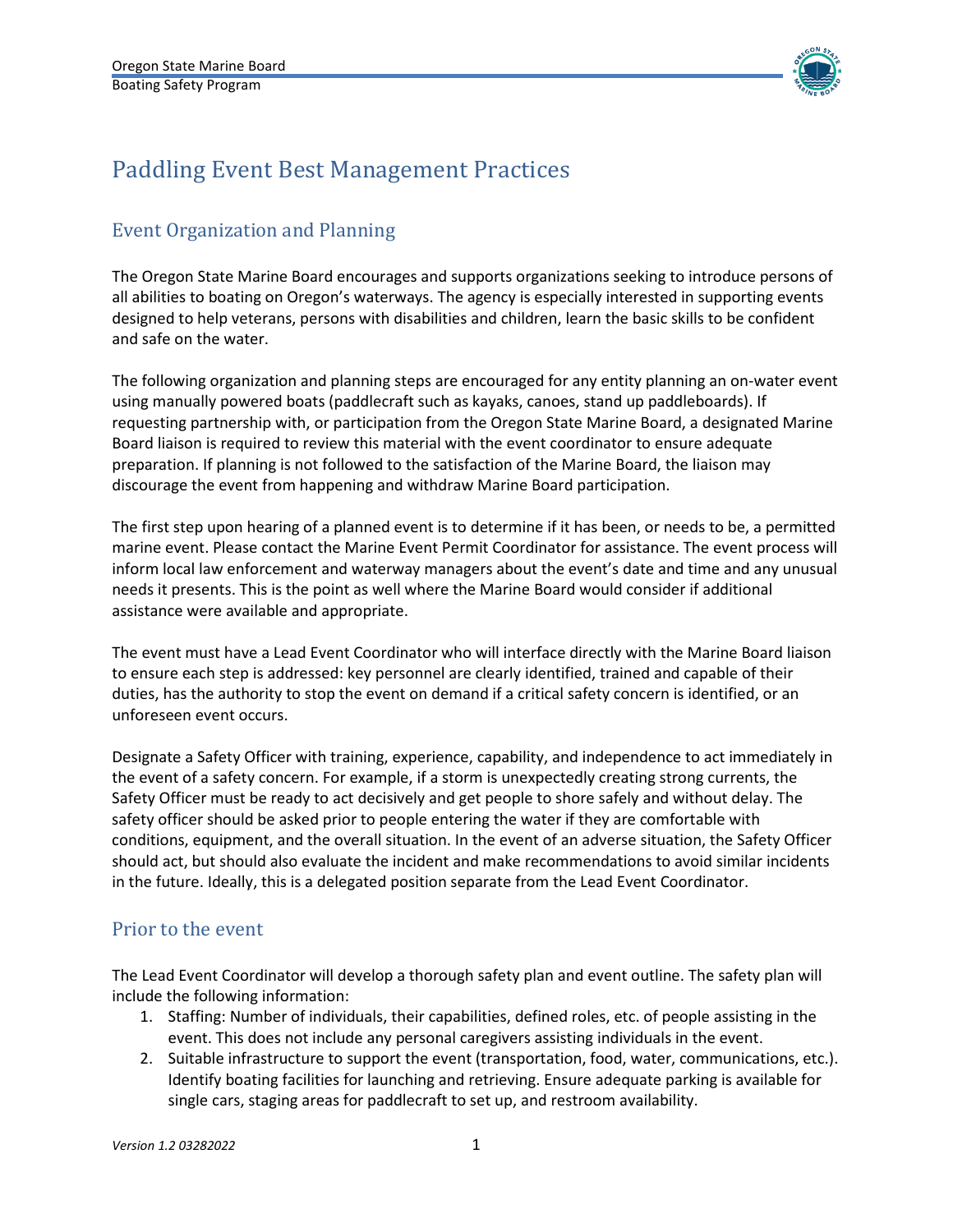

# Paddling Event Best Management Practices

# Event Organization and Planning

The Oregon State Marine Board encourages and supports organizations seeking to introduce persons of all abilities to boating on Oregon's waterways. The agency is especially interested in supporting events designed to help veterans, persons with disabilities and children, learn the basic skills to be confident and safe on the water.

The following organization and planning steps are encouraged for any entity planning an on-water event using manually powered boats (paddlecraft such as kayaks, canoes, stand up paddleboards). If requesting partnership with, or participation from the Oregon State Marine Board, a designated Marine Board liaison is required to review this material with the event coordinator to ensure adequate preparation. If planning is not followed to the satisfaction of the Marine Board, the liaison may discourage the event from happening and withdraw Marine Board participation.

The first step upon hearing of a planned event is to determine if it has been, or needs to be, a permitted marine event. Please contact the Marine Event Permit Coordinator for assistance. The event process will inform local law enforcement and waterway managers about the event's date and time and any unusual needs it presents. This is the point as well where the Marine Board would consider if additional assistance were available and appropriate.

The event must have a Lead Event Coordinator who will interface directly with the Marine Board liaison to ensure each step is addressed: key personnel are clearly identified, trained and capable of their duties, has the authority to stop the event on demand if a critical safety concern is identified, or an unforeseen event occurs.

Designate a Safety Officer with training, experience, capability, and independence to act immediately in the event of a safety concern. For example, if a storm is unexpectedly creating strong currents, the Safety Officer must be ready to act decisively and get people to shore safely and without delay. The safety officer should be asked prior to people entering the water if they are comfortable with conditions, equipment, and the overall situation. In the event of an adverse situation, the Safety Officer should act, but should also evaluate the incident and make recommendations to avoid similar incidents in the future. Ideally, this is a delegated position separate from the Lead Event Coordinator.

### Prior to the event

The Lead Event Coordinator will develop a thorough safety plan and event outline. The safety plan will include the following information:

- 1. Staffing: Number of individuals, their capabilities, defined roles, etc. of people assisting in the event. This does not include any personal caregivers assisting individuals in the event.
- 2. Suitable infrastructure to support the event (transportation, food, water, communications, etc.). Identify boating facilities for launching and retrieving. Ensure adequate parking is available for single cars, staging areas for paddlecraft to set up, and restroom availability.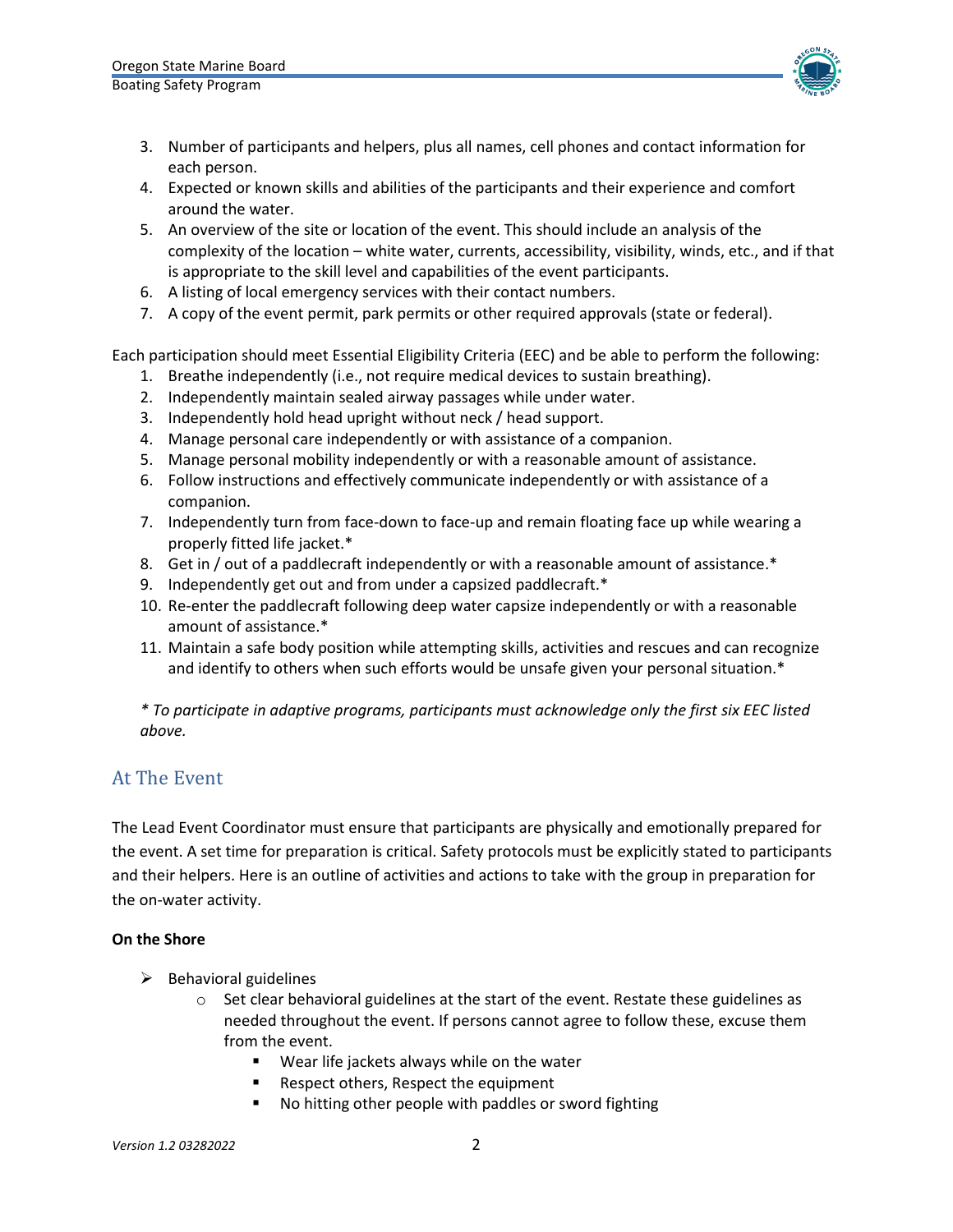

- 3. Number of participants and helpers, plus all names, cell phones and contact information for each person.
- 4. Expected or known skills and abilities of the participants and their experience and comfort around the water.
- 5. An overview of the site or location of the event. This should include an analysis of the complexity of the location – white water, currents, accessibility, visibility, winds, etc., and if that is appropriate to the skill level and capabilities of the event participants.
- 6. A listing of local emergency services with their contact numbers.
- 7. A copy of the event permit, park permits or other required approvals (state or federal).

Each participation should meet Essential Eligibility Criteria (EEC) and be able to perform the following:

- 1. Breathe independently (i.e., not require medical devices to sustain breathing).
- 2. Independently maintain sealed airway passages while under water.
- 3. Independently hold head upright without neck / head support.
- 4. Manage personal care independently or with assistance of a companion.
- 5. Manage personal mobility independently or with a reasonable amount of assistance.
- 6. Follow instructions and effectively communicate independently or with assistance of a companion.
- 7. Independently turn from face-down to face-up and remain floating face up while wearing a properly fitted life jacket.\*
- 8. Get in / out of a paddlecraft independently or with a reasonable amount of assistance.\*
- 9. Independently get out and from under a capsized paddlecraft.\*
- 10. Re-enter the paddlecraft following deep water capsize independently or with a reasonable amount of assistance.\*
- 11. Maintain a safe body position while attempting skills, activities and rescues and can recognize and identify to others when such efforts would be unsafe given your personal situation.\*

*\* To participate in adaptive programs, participants must acknowledge only the first six EEC listed above.*

### At The Event

The Lead Event Coordinator must ensure that participants are physically and emotionally prepared for the event. A set time for preparation is critical. Safety protocols must be explicitly stated to participants and their helpers. Here is an outline of activities and actions to take with the group in preparation for the on-water activity.

#### **On the Shore**

- $\triangleright$  Behavioral guidelines
	- $\circ$  Set clear behavioral guidelines at the start of the event. Restate these guidelines as needed throughout the event. If persons cannot agree to follow these, excuse them from the event.
		- Wear life jackets always while on the water
		- Respect others, Respect the equipment
		- No hitting other people with paddles or sword fighting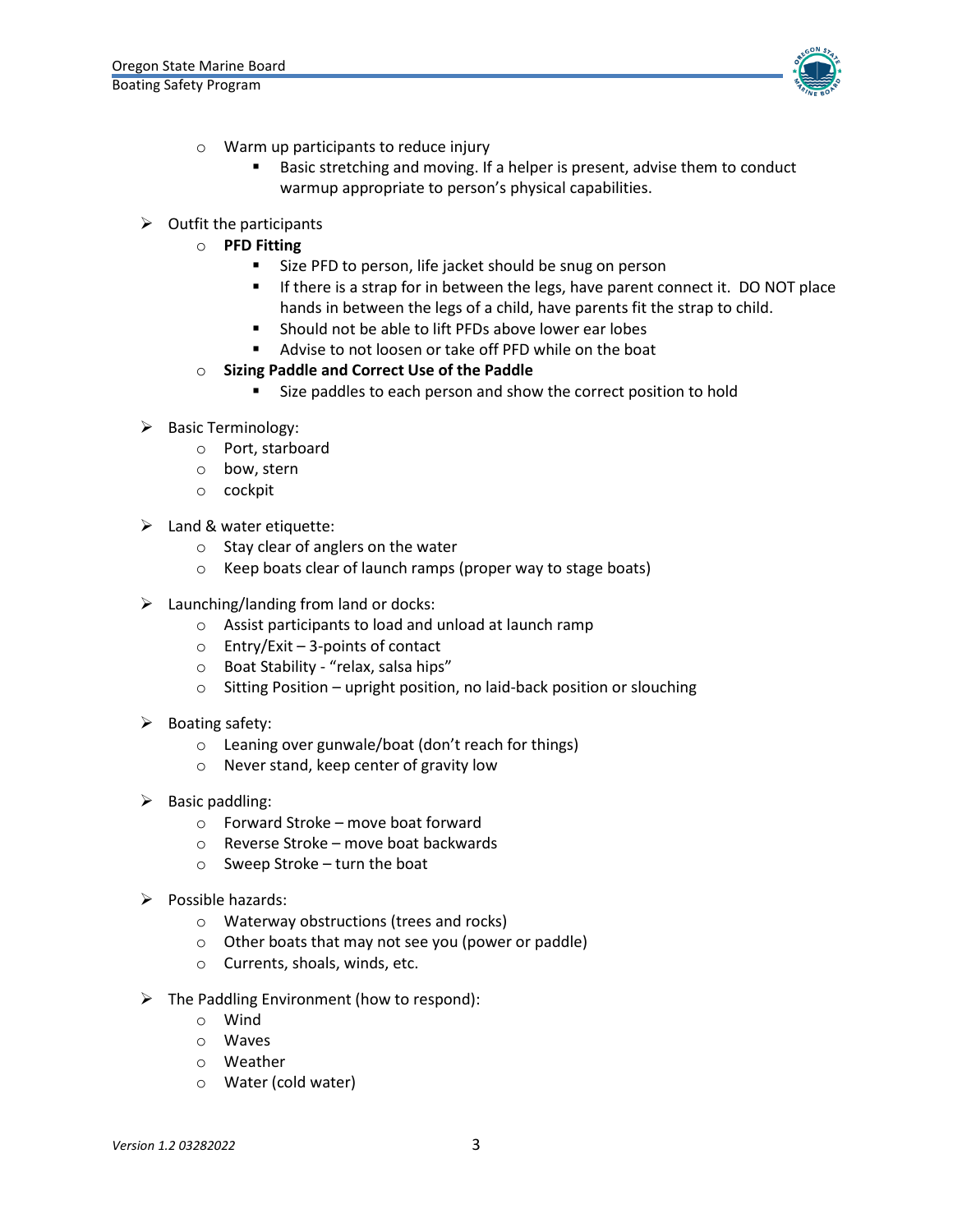

- o Warm up participants to reduce injury
	- Basic stretching and moving. If a helper is present, advise them to conduct warmup appropriate to person's physical capabilities.
- $\triangleright$  Outfit the participants
	- o **PFD Fitting**
		- **Size PFD to person, life jacket should be snug on person**
		- **If there is a strap for in between the legs, have parent connect it. DO NOT place** hands in between the legs of a child, have parents fit the strap to child.
		- Should not be able to lift PFDs above lower ear lobes
		- Advise to not loosen or take off PFD while on the boat
	- o **Sizing Paddle and Correct Use of the Paddle** 
		- Size paddles to each person and show the correct position to hold
- $\triangleright$  Basic Terminology:
	- o Port, starboard
	- o bow, stern
	- o cockpit
- $\triangleright$  Land & water etiquette:
	- o Stay clear of anglers on the water
	- o Keep boats clear of launch ramps (proper way to stage boats)
- $\triangleright$  Launching/landing from land or docks:
	- o Assist participants to load and unload at launch ramp
	- o Entry/Exit 3-points of contact
	- o Boat Stability "relax, salsa hips"
	- o Sitting Position upright position, no laid-back position or slouching
- $\triangleright$  Boating safety:
	- o Leaning over gunwale/boat (don't reach for things)
	- o Never stand, keep center of gravity low
- $\triangleright$  Basic paddling:
	- o Forward Stroke move boat forward
	- o Reverse Stroke move boat backwards
	- $\circ$  Sweep Stroke turn the boat
- $\triangleright$  Possible hazards:
	- o Waterway obstructions (trees and rocks)
	- o Other boats that may not see you (power or paddle)
	- o Currents, shoals, winds, etc.
- $\triangleright$  The Paddling Environment (how to respond):
	- o Wind
	- o Waves
	- o Weather
	- o Water (cold water)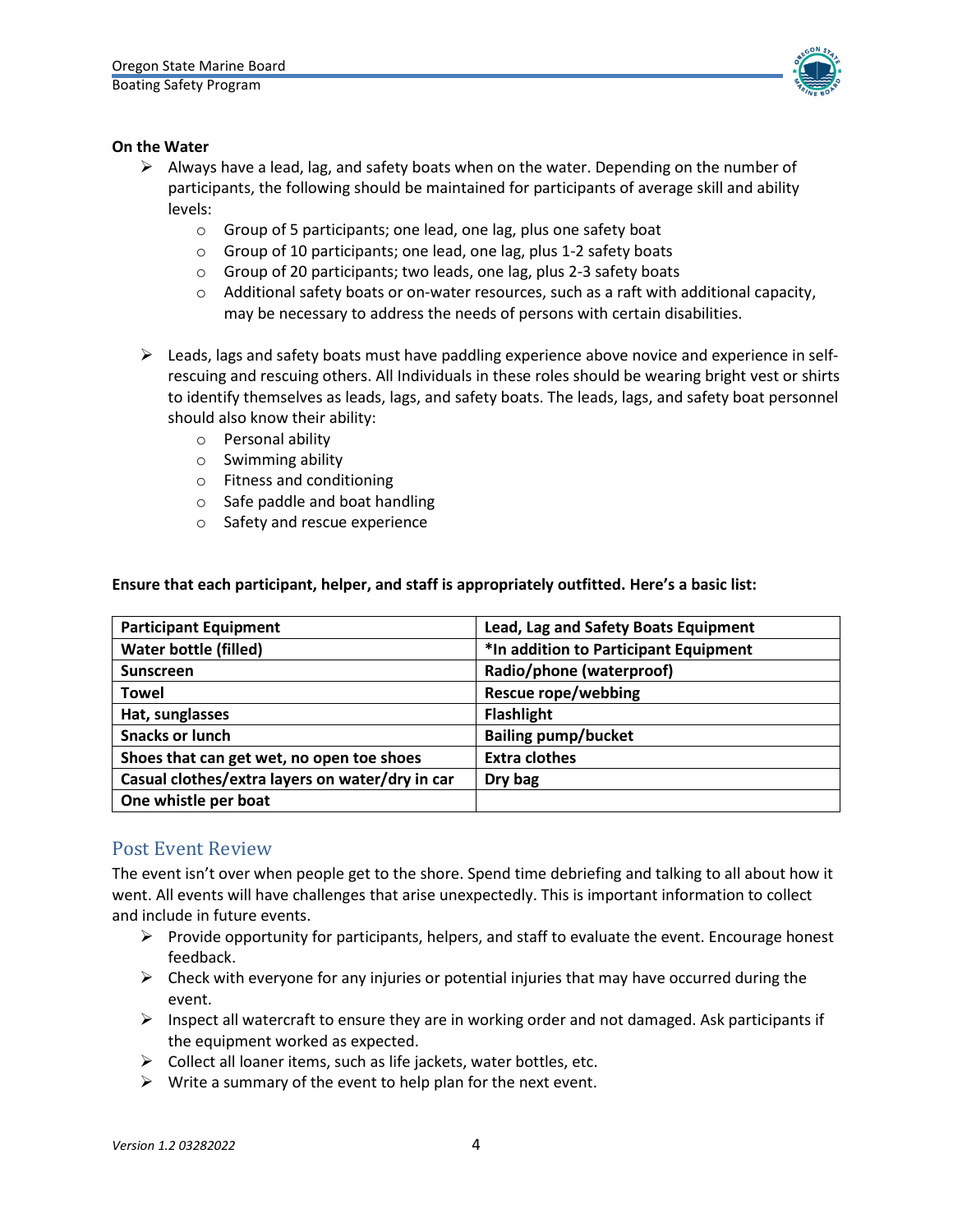

#### **On the Water**

- $\triangleright$  Always have a lead, lag, and safety boats when on the water. Depending on the number of participants, the following should be maintained for participants of average skill and ability levels:
	- o Group of 5 participants; one lead, one lag, plus one safety boat
	- o Group of 10 participants; one lead, one lag, plus 1-2 safety boats
	- o Group of 20 participants; two leads, one lag, plus 2-3 safety boats
	- $\circ$  Additional safety boats or on-water resources, such as a raft with additional capacity, may be necessary to address the needs of persons with certain disabilities.
- $\triangleright$  Leads, lags and safety boats must have paddling experience above novice and experience in selfrescuing and rescuing others. All Individuals in these roles should be wearing bright vest or shirts to identify themselves as leads, lags, and safety boats. The leads, lags, and safety boat personnel should also know their ability:
	- o Personal ability
	- o Swimming ability
	- o Fitness and conditioning
	- o Safe paddle and boat handling
	- o Safety and rescue experience

#### **Ensure that each participant, helper, and staff is appropriately outfitted. Here's a basic list:**

| <b>Participant Equipment</b>                    | Lead, Lag and Safety Boats Equipment  |
|-------------------------------------------------|---------------------------------------|
| <b>Water bottle (filled)</b>                    | *In addition to Participant Equipment |
| <b>Sunscreen</b>                                | Radio/phone (waterproof)              |
| <b>Towel</b>                                    | <b>Rescue rope/webbing</b>            |
| Hat, sunglasses                                 | <b>Flashlight</b>                     |
| <b>Snacks or lunch</b>                          | <b>Bailing pump/bucket</b>            |
| Shoes that can get wet, no open toe shoes       | <b>Extra clothes</b>                  |
| Casual clothes/extra layers on water/dry in car | Dry bag                               |
| One whistle per boat                            |                                       |

### Post Event Review

The event isn't over when people get to the shore. Spend time debriefing and talking to all about how it went. All events will have challenges that arise unexpectedly. This is important information to collect and include in future events.

- $\triangleright$  Provide opportunity for participants, helpers, and staff to evaluate the event. Encourage honest feedback.
- $\triangleright$  Check with everyone for any injuries or potential injuries that may have occurred during the event.
- $\triangleright$  Inspect all watercraft to ensure they are in working order and not damaged. Ask participants if the equipment worked as expected.
- $\triangleright$  Collect all loaner items, such as life jackets, water bottles, etc.
- $\triangleright$  Write a summary of the event to help plan for the next event.